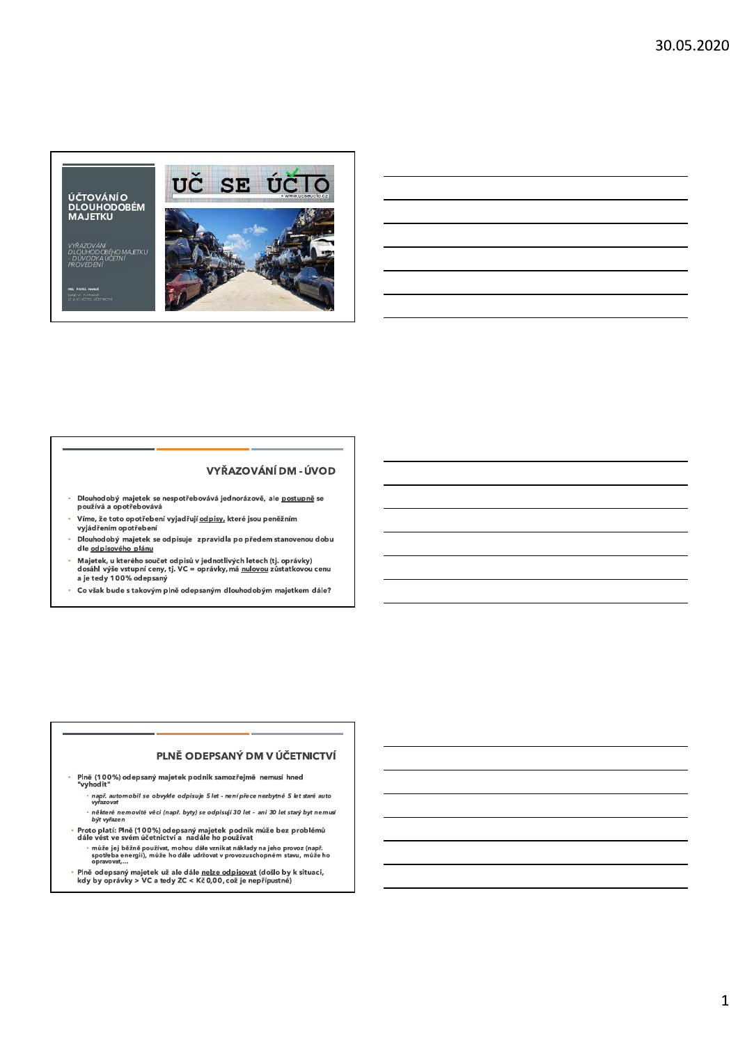ÚČTOVÁNÍO<br>DLOUHODOBÉM<br>MAJETKU

VYŘAZOVÁNÍ<br>DLOUHODOBÉHO MAJETKU<br>- DŮVODY A ÚČETNÍ<br>PROVEDENÍ



## VYŘAZOVÁNÍ DM - ÚVOD

- Dlouhodobý majetek se nespotřebovává jednorázově, ale <u>postupně</u> se<br>používá a opotřebovává
- Víme, že toto opotřebení vyjadřují odpisy, které jsou peněžním vyjádřením opotřebení
- Dlouhodobý majetek se odpisuje zpravidla po předem stanovenou dobu dle odpisového plánu
- Majetek, u kterého součet odpisů v jednotlivých letech (tj. oprávky)<br>dosáhl výše vstupní ceny, tj. VC = oprávky, má <u>nulovou</u> zůstatkovou cenu<br>a je tedy 100% odepsaný
- ä. Co však bude s takovým plně odepsaným dlouhodobým majetkem dále?

#### PLNĚ ODEPSANÝ DM V ÚČETNICTVÍ

Plně (100%) odepsaný majetek podnik samozřejmě nemusí hned<br>"vyhodit"

- např. automobil se obvykle odpisuje 5 let není přece nezbytné 5 let staré auto<br>vyřazovat
- některé nemovité věci (např. byty) se odpisují 30 let ani 30 let starý byt nemusí být vyřazen
- Proto platí: Plně (100%) odepsaný majetek podnik může bez problémů<br>dále vést ve svém účetnictví a nadále ho používat l,
	- může jej běžně používat, mohou dále vznikat náklady na jeho provoz (např.<br>spotřeba energií), může ho dále udržovat v provozuschopném stavu, může ho<br>opravovat,...
- Plně odepsaný majetek už ale dále <u>nelze odpisovat</u> (došlo by k situaci,<br>kdy by oprávky > VC a tedy ZC < Kč 0,00, což je nepřípustné)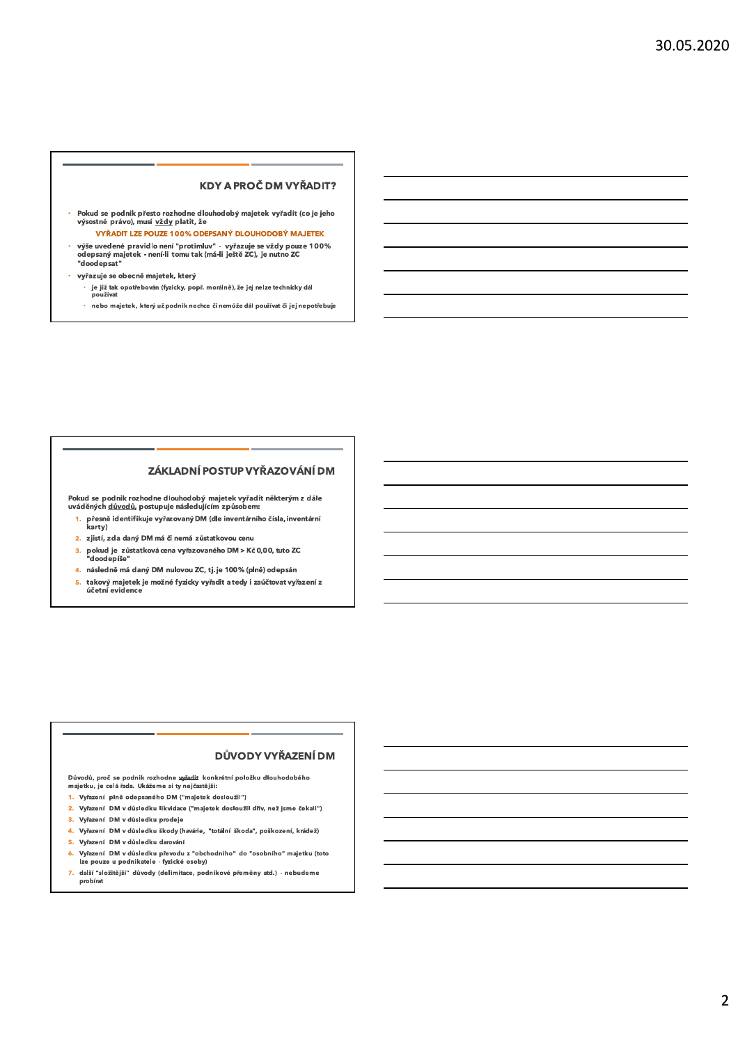#### **KDY A PROČ DM VYŘADIT?**

- Pokud se podnik přesto rozhodne dlouhodobý majetek vyřadit (co je jeho výsostné právo), musí vždy platit, že
- VYŘADIT LZE POUZE 100% ODEPSANÝ DLOUHODOBÝ MAJETEK výše uvedené pravidlo není "protimluv" - vyřazuje se vždy pouze 100%<br>odepsaný majetek - není-li tomu tak (má-li ještě ZC), je nutno ZC "doodepsat"
- vyřazuje se obecně majetek, který
	- je již tak opotřebován (fyzicky, popř. morálně), že jej nelze technicky dál<br>používat
	- ÷. nebo majetek, který už podnik nechce či nemůže dál používat či jej nepotřebuje

## ZÁKLADNÍ POSTUP VYŘAZOVÁNÍ DM

Pokud se podnik rozhodne dlouhodobý majetek vyřadit některým z dále<br>uváděných <u>důvodů,</u> postupuje následujícím způsobem:

- 1. přesně identifikuje vyřazovaný DM (dle inventárního čísla, inventární karty)
- 2. zjistí, zda daný DM má či nemá zůstatkovou cenu
- ,<br>3. pokud je zůstatkovácena vyřazovaného DM > Kč 0,00, tuto ZC<br>"doodepíše"
- 4. následně má daný DM nulovou ZC, tj. je 100% (plně) odepsán
- 5. takový majetek je možné fyzicky vyřadit a tedy i zaúčtovat vyřazení z účetní evidence

#### DŮVODY VYŘAZENÍ DM

Důvodů, proč se podnik rozhodne vyřadit, konkrétní položku dlouhodobého majetku, je celá řada. Ukážeme si ty nejčastější:

- 1. Vyřazení plně odepsaného DM ("majetek dosloužil")
- 2. Vyřazení DM v důsledku likvidace ("majetek dosloužil dřív, než jsme čekali")
- 3. Vyřazení DM v důsledku prodeje
- 4. Vyřazení DM v důsledku škody (havárie, "totální škoda", poškození, krádež)
- 5. Vyřazení DM v důsledku darování
- ,<br>6. Vyřazení DM v důsledku převodu z "obchodního" do "osobního" majetku (toto<br>lze pouze u podnikatele fyzické osoby)
- 7. další "složitější" důvody (delimitace, podnikové přeměny atd.) nebudeme probírat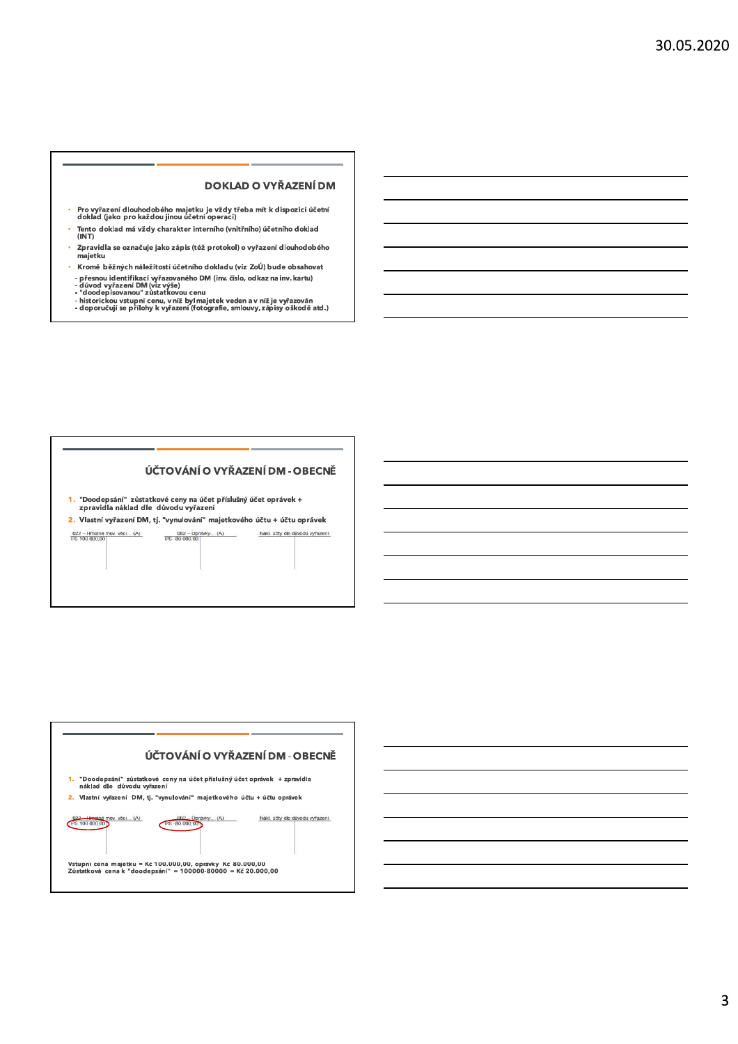### **DOKLAD O VYŘAZENÍ DM**

- Pro vyřazení dlouhodobého majetku je vždy třeba mít k dispozici účetní<br>doklad (jako pro každou jinou účetní operaci)
- Tento doklad má vždy charakter interního (vnitřního) účetního doklad<br>(INT)
- Zpravidla se označuje jako zápis (též protokol) o vyřazení dlouhodobého majetku
- Kromě běžných náležitostí účetního dokladu (viz ZoÚ) bude obsahovat ä, v oblikaci výzazovaného DM (inv. číslo, odkaz na inv. kartu)<br>- přesnou identifikaci výzazovaného DM (inv. číslo, odkaz na inv. kartu)<br>- důvod vyřazení DM (viz výše)<br>- hlodepisovanou " zůstatkovou cenu<br>- historickou vstupní
	-
	-

## ÚČTOVÁNÍ O VYŘAZENÍ DM - OBECNĚ

1. "Doodepsání" zůstatkové ceny na účet příslušný účet oprávek +<br>zpravidla náklad dle důvodu vyřazení

2. Vlastní vyřazení DM, tj. "vynulování" majetkového účtu + účtu oprávek  $\frac{022 - H \text{mothé mov. věci. (A)}}{PS 100.000,00}$  $\frac{082 - \text{Opriwky... (A)}}{\text{PS -}80.000,00}$ Nákl. účty dle důvodu vyřazení

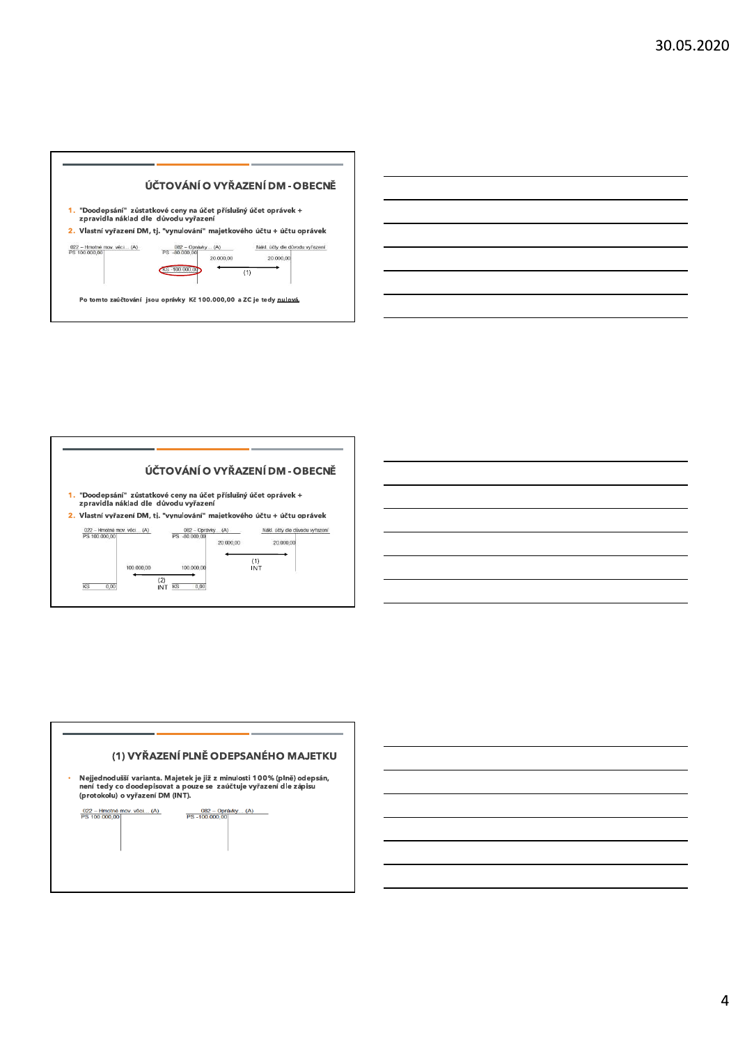



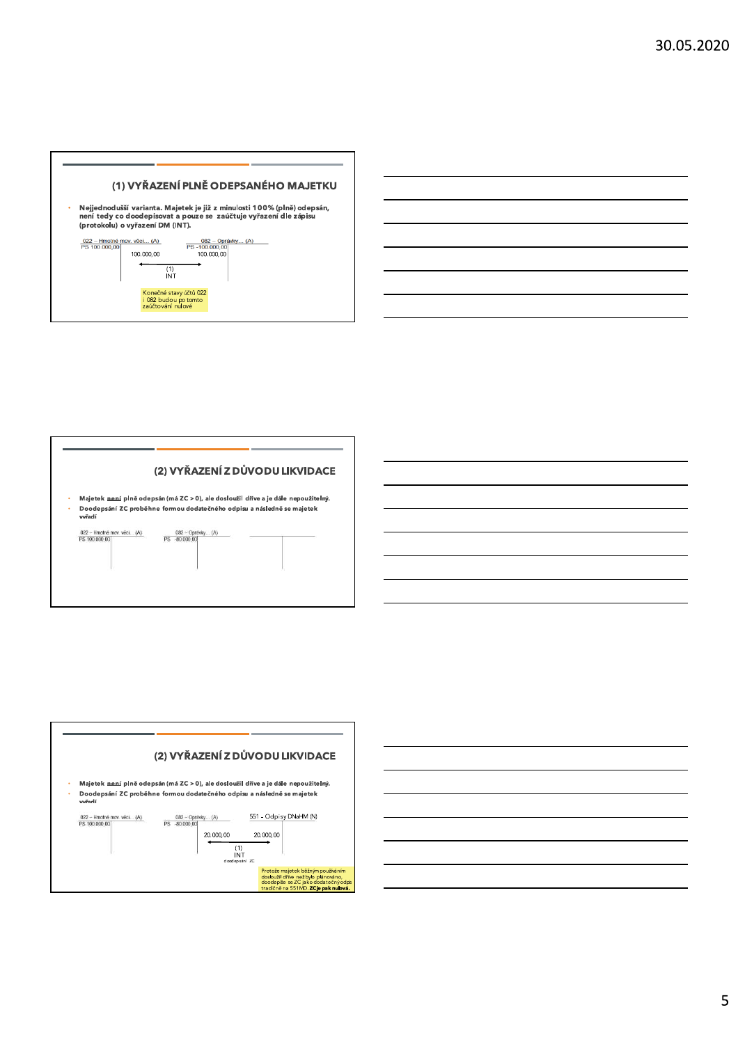





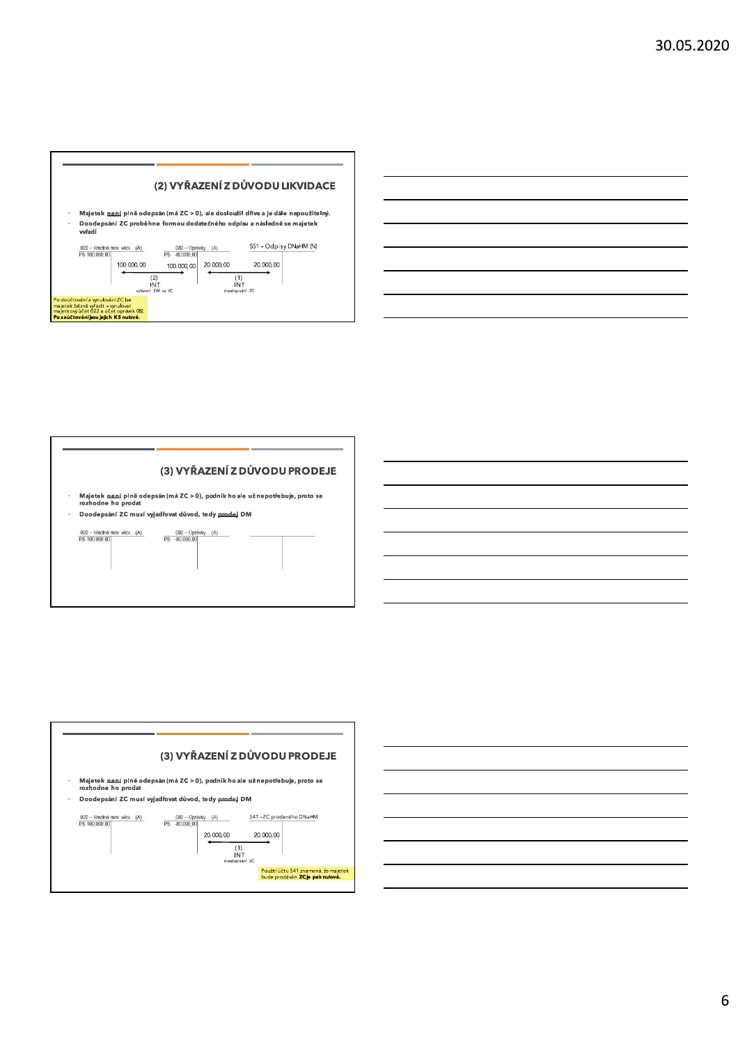





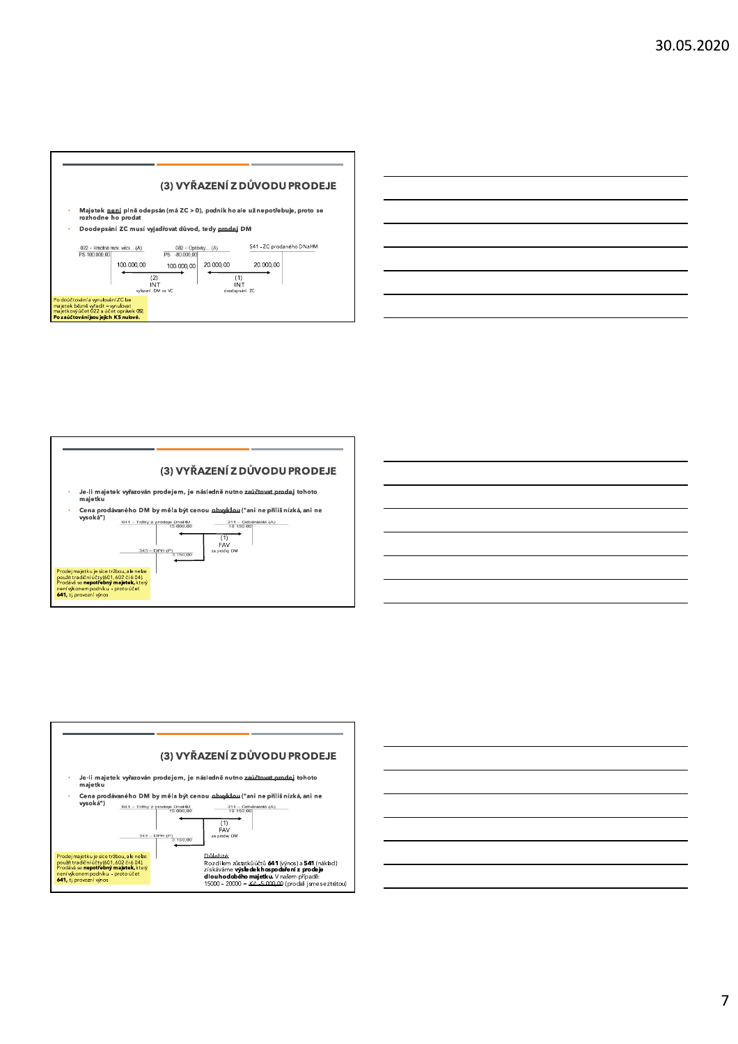







# $\overline{7}$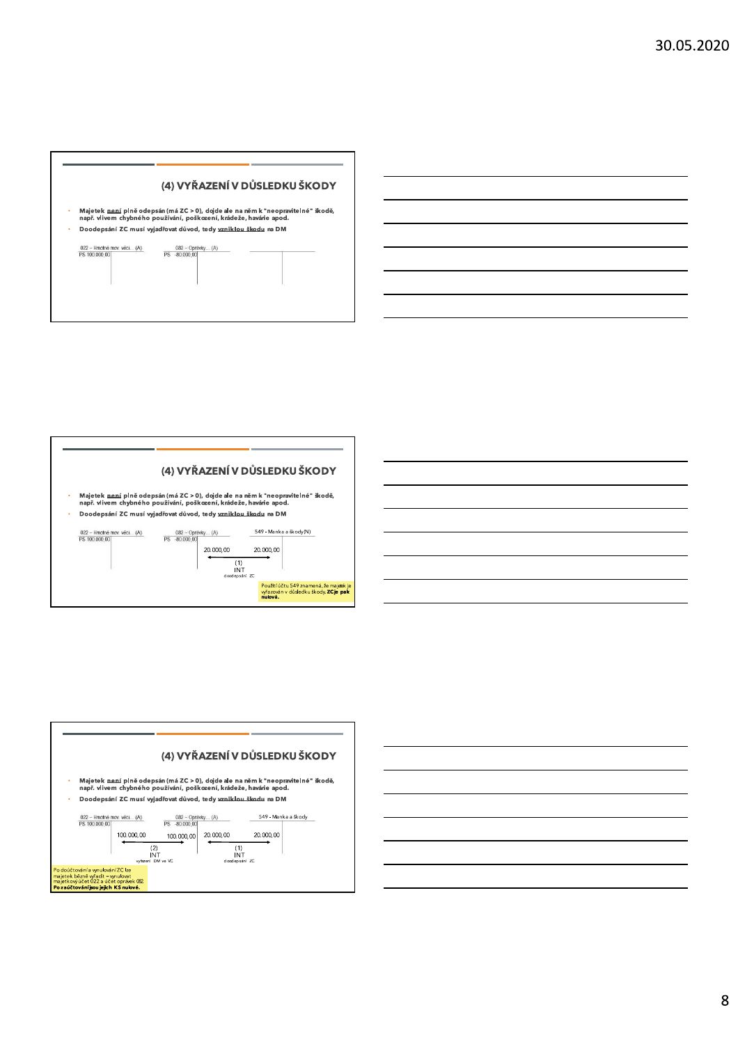





# 8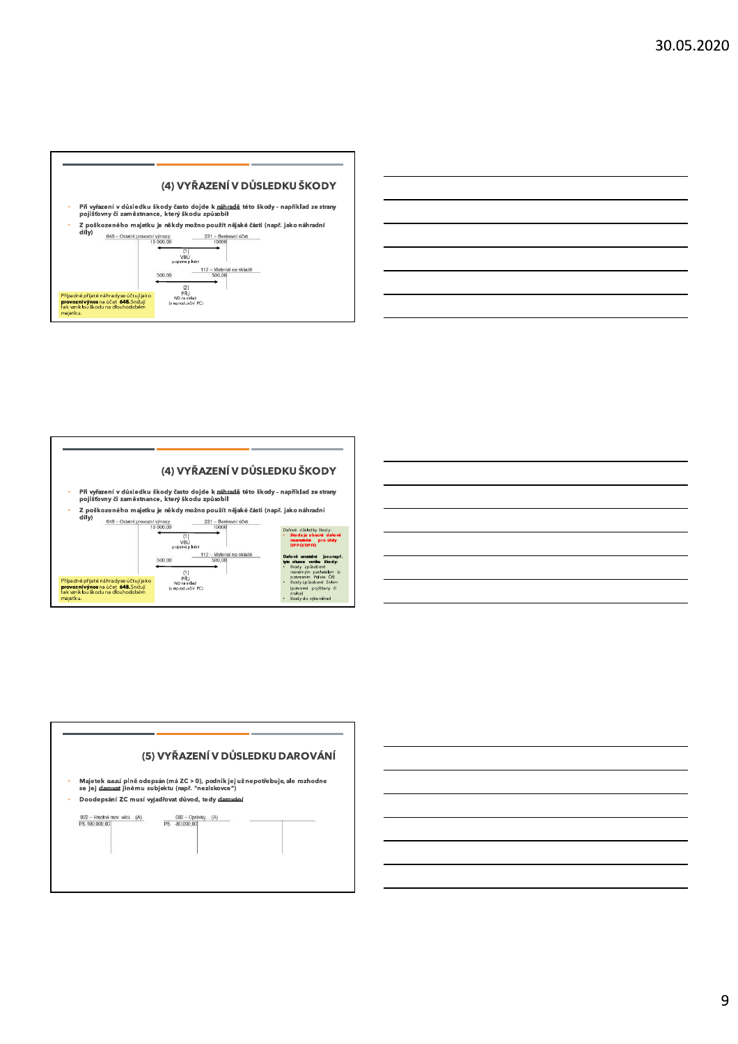





## 9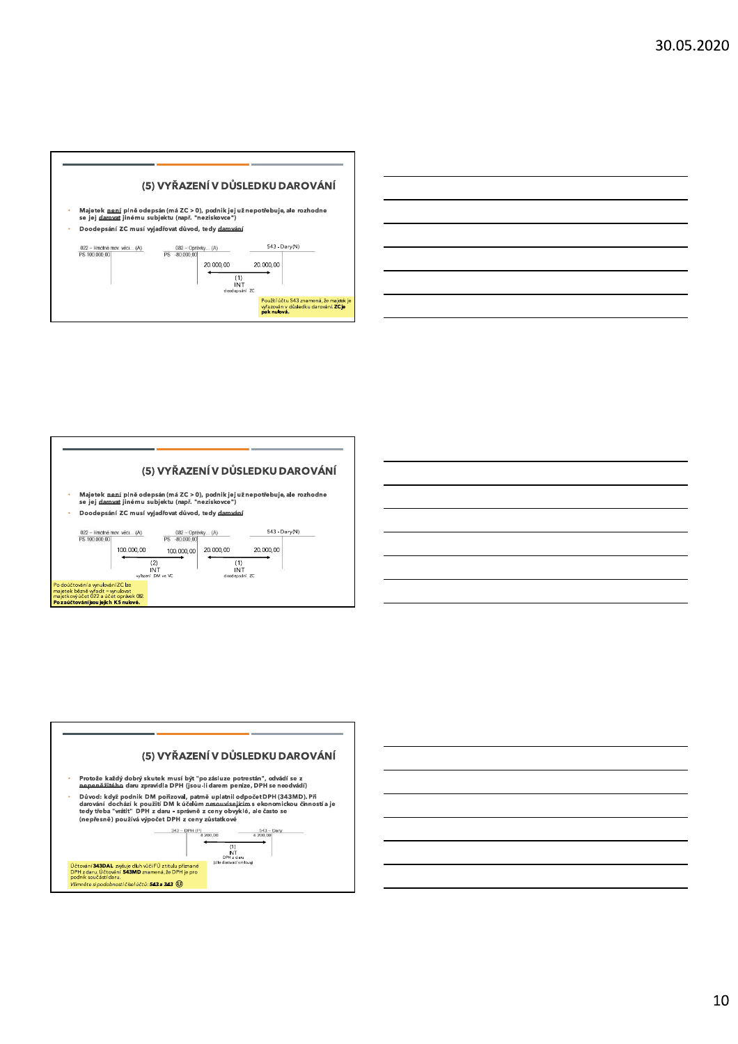



#### (5) VYŘAZENÍ V DŮSLEDKU DAROVÁNÍ Majetek <u>není</u> plně odepsán (má ZC > 0), podnik jej užnepotřebuje, ale rozhodne<br>se jej <u>darovat</u> jinému subjektu (např. "neziskovce") Doodepsání ZC musí vyjadřovat důvod, tedy darování 022 -- Hmotné mov. věci... (A)<br>PS 100.000.00  $543 - Dary(N)$ 082 - Oprávky... (A)  $100.000,00$  $20.000,00$  $20.000,00$ 100.000,00 (2)<br>INT<br>vyřazení DM ve VC (1)<br>INT<br>doodepsání ZC iúčtování a vynulování ZC lze<br>jek bězně vyřadit = vynulovat<br>kový účet 022 a účet opráv ajeckownicet 022 a účet oprávat<br><mark>zaúčtování jsou jejich KS nulové.</mark><br>Z<mark>aúčtování jsou jejich KS nulové.</mark>



10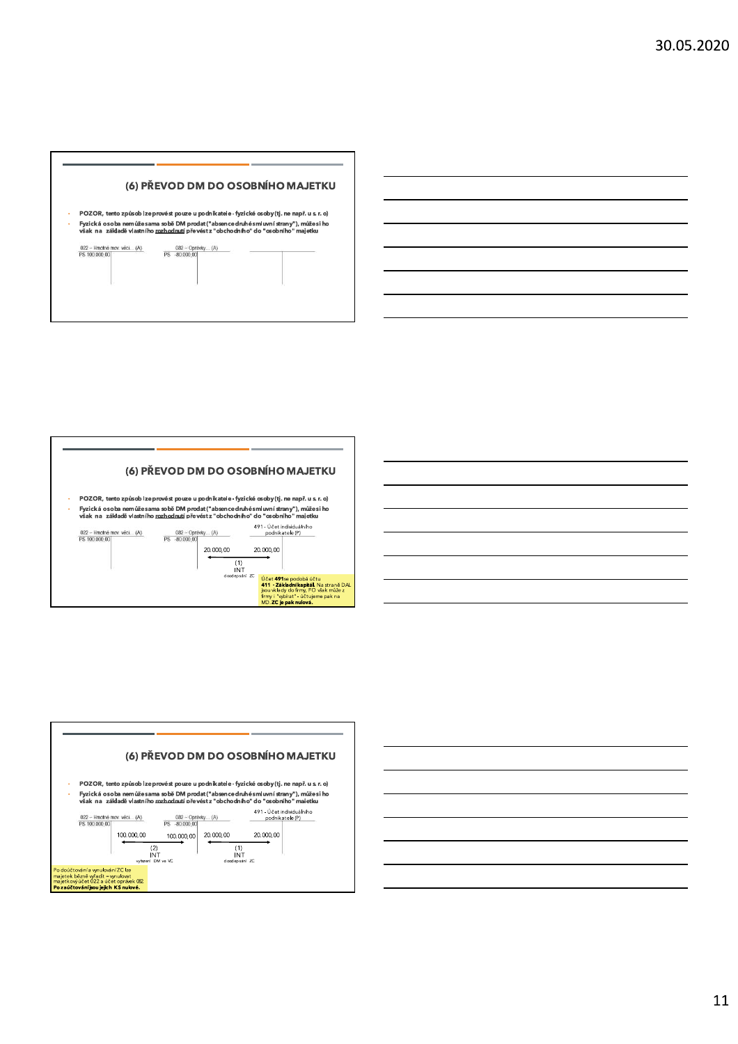